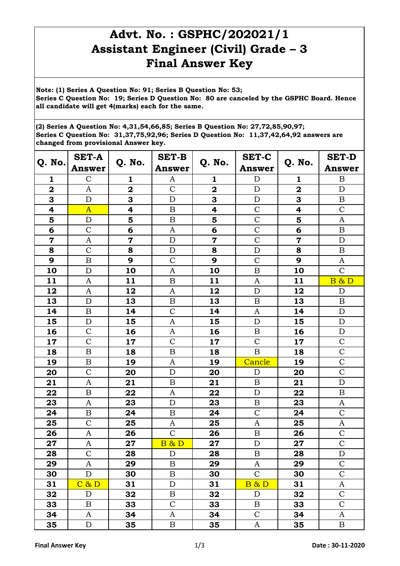## **Advt. No. : GSPHC/202021/1 Assistant Engineer (Civil) Grade – 3 Final Answer Key**

**Note: (1) Series A Question No: 91; Series B Question No: 53; Series C Question No: 19; Series D Question No: 80 are canceled by the GSPHC Board. Hence all candidate will get 4(marks) each for the same.** 

**(2) Series A Question No: 4,31,54,66,85; Series B Question No: 27,72,85,90,97; Series C Question No: 31,37,75,92,96; Series D Question No: 11,37,42,64,92 answers are changed from provisional Answer key.**

| Q. No.                  | <b>SET-A</b><br><b>Answer</b> | Q. No.                  | <b>SET-B</b><br><b>Answer</b> | Q. No.                  | <b>SET-C</b><br><b>Answer</b> | Q. No.                  | <b>SET-D</b>                      |
|-------------------------|-------------------------------|-------------------------|-------------------------------|-------------------------|-------------------------------|-------------------------|-----------------------------------|
| 1                       | $\mathcal{C}$                 | 1                       | A                             | 1                       | $\mathbf D$                   | 1                       | <b>Answer</b><br>$\boldsymbol{B}$ |
| $\overline{\mathbf{2}}$ | A                             | $\overline{\mathbf{2}}$ | $\mathcal{C}$                 | $\overline{\mathbf{2}}$ | $\mathbf D$                   | $\overline{\mathbf{2}}$ | $\mathbf D$                       |
| 3                       | $\mathbf D$                   | 3                       | $\mathbf D$                   | 3                       | $\mathbf D$                   | 3                       | $\, {\bf B}$                      |
| 4                       | $\overline{A}$                | 4                       | $\mathbf B$                   | 4                       | $\mathcal{C}$                 | 4                       | $\mathbf C$                       |
| 5                       | $\mathbf D$                   | 5                       | $\boldsymbol{B}$              | 5                       | $\mathcal{C}$                 | 5                       | $\mathbf{A}$                      |
| 6                       | $\mathcal{C}$                 | 6                       | $\boldsymbol{A}$              | 6                       | $\overline{C}$                | 6                       | $\boldsymbol{B}$                  |
| $\overline{7}$          | $\boldsymbol{A}$              | $\overline{\mathbf{7}}$ | $\mathbf D$                   | $\overline{\mathbf{7}}$ | $\overline{C}$                | $\overline{\mathbf{7}}$ | $\mathbf D$                       |
| 8                       | $\mathcal{C}$                 | 8                       | $\mathbf D$                   | 8                       | $\mathbf D$                   | 8                       | $\, {\bf B}$                      |
| 9                       | $\overline{B}$                | 9                       | $\overline{C}$                | 9                       | $\mathcal{C}$                 | 9                       | $\boldsymbol{A}$                  |
| 10                      | D                             | 10                      | $\mathbf{A}$                  | 10                      | $\overline{B}$                | 10                      | $\overline{C}$                    |
| 11                      | A                             | 11                      | $\mathbf B$                   | 11                      | A                             | 11                      | B & D                             |
| 12                      | A                             | 12                      | A                             | 12                      | $\mathbf D$                   | 12                      | $\mathbf D$                       |
| 13                      | $\mathbf D$                   | 13                      | $\boldsymbol{B}$              | 13                      | B                             | 13                      | $\boldsymbol{B}$                  |
| 14                      | $\boldsymbol{B}$              | 14                      | $\overline{C}$                | 14                      | $\mathbf{A}$                  | 14                      | $\mathbf D$                       |
| 15                      | $\mathbf D$                   | 15                      | A                             | 15                      | D                             | 15                      | $\mathbf D$                       |
| 16                      | $\mathcal{C}$                 | 16                      | A                             | 16                      | $\boldsymbol{B}$              | 16                      | $\mathbf D$                       |
| 17                      | $\mathcal{C}$                 | 17                      | $\mathbf C$                   | 17                      | $\mathcal{C}$                 | 17                      | $\mathcal{C}$                     |
| 18                      | $\boldsymbol{B}$              | 18                      | $\bf{B}$                      | 18                      | $\boldsymbol{B}$              | 18                      | $\overline{C}$                    |
| 19                      | $\boldsymbol{B}$              | 19                      | A                             | 19                      | Cancle                        | 19                      | $\mathsf{C}$                      |
| 20                      | $\mathcal{C}$                 | 20                      | $\mathbf D$                   | 20                      | $\mathbf D$                   | 20                      | $\overline{C}$                    |
| 21                      | A                             | 21                      | $\, {\bf B}$                  | 21                      | $\boldsymbol{B}$              | 21                      | $\mathbf D$                       |
| 22                      | $\, {\bf B}$                  | 22                      | $\mathbf{A}$                  | 22                      | $\mathbf D$                   | 22                      | $\, {\bf B}$                      |
| 23                      | A                             | 23                      | $\mathbf D$                   | 23                      | $\boldsymbol{B}$              | 23                      | A                                 |
| 24                      | $\, {\bf B}$                  | 24                      | $\, {\bf B}$                  | 24                      | $\mathcal{C}$                 | 24                      | $\mathsf{C}$                      |
| 25                      | $\mathcal{C}$                 | 25                      | $\mathbf{A}$                  | 25                      | $\mathbf{A}$                  | 25                      | $\mathbf{A}$                      |
| 26                      | A                             | 26                      | $\overline{C}$                | 26                      | $\boldsymbol{\mathrm{B}}$     | 26                      | $\mathbf C$                       |
| 27                      | $\boldsymbol{A}$              | 27                      | <b>B &amp; D</b>              | 27                      | $\mathbf D$                   | 27                      | $\mathbf C$                       |
| 28                      | $\mathsf{C}$                  | 28                      | D                             | 28                      | B                             | 28                      | D                                 |
| 29                      | A                             | 29                      | $\, {\bf B}$                  | 29                      | A                             | 29                      | $\mathbf C$                       |
| 30                      | $\mathbf D$                   | 30                      | $\boldsymbol{B}$              | 30                      | $\mathbf C$                   | 30                      | $\mathbf C$                       |
| 31                      | C & D                         | 31                      | $\mathbf D$                   | 31                      | <b>B &amp; D</b>              | 31                      | A                                 |
| 32                      | D                             | 32                      | $\, {\bf B}$                  | 32                      | $\mathbf D$                   | 32                      | $\mathbf C$                       |
| 33                      | $\, {\bf B}$                  | 33                      | $\mathcal{C}$                 | 33                      | $\, {\bf B}$                  | 33                      | $\overline{C}$                    |
| 34                      | A                             | 34                      | A                             | 34                      | $\mathsf{C}$                  | 34                      | A                                 |
| 35                      | ${\bf D}$                     | 35                      | $\boldsymbol{B}$              | 35                      | A                             | 35                      | $\, {\bf B}$                      |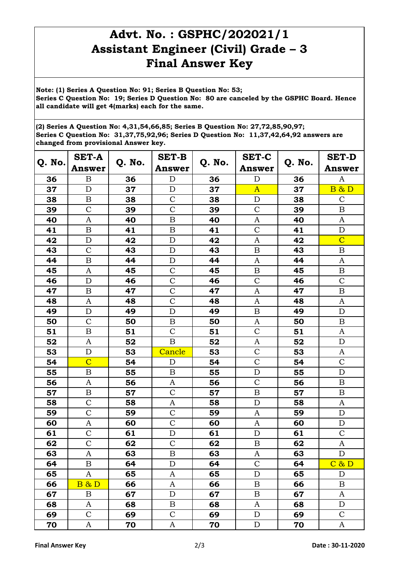## **Advt. No. : GSPHC/202021/1 Assistant Engineer (Civil) Grade – 3 Final Answer Key**

**Note: (1) Series A Question No: 91; Series B Question No: 53; Series C Question No: 19; Series D Question No: 80 are canceled by the GSPHC Board. Hence all candidate will get 4(marks) each for the same.** 

**(2) Series A Question No: 4,31,54,66,85; Series B Question No: 27,72,85,90,97; Series C Question No: 31,37,75,92,96; Series D Question No: 11,37,42,64,92 answers are changed from provisional Answer key.**

| Q. No. | <b>SET-A</b>              |        | <b>SET-B</b><br>Q. No.<br><b>Answer</b> |    | <b>SET-C</b>     | Q. No. | <b>SET-D</b>     |
|--------|---------------------------|--------|-----------------------------------------|----|------------------|--------|------------------|
|        | <b>Answer</b>             | Q. No. |                                         |    | <b>Answer</b>    |        | <b>Answer</b>    |
| 36     | $\boldsymbol{\mathrm{B}}$ | 36     | $\mathbf D$                             | 36 | $\mathbf D$      | 36     | A                |
| 37     | $\mathbf D$               | 37     | $\mathbf D$                             | 37 | $\overline{A}$   | 37     | <b>B &amp; D</b> |
| 38     | $\boldsymbol{B}$          | 38     | $\mathcal{C}$                           | 38 | $\mathbf D$      | 38     | $\mathbf C$      |
| 39     | $\mathbf C$               | 39     | $\mathsf{C}$                            | 39 | $\mathcal{C}$    | 39     | $\boldsymbol{B}$ |
| 40     | A                         | 40     | $\, {\bf B}$                            | 40 | A                | 40     | $\boldsymbol{A}$ |
| 41     | $\boldsymbol{B}$          | 41     | $\boldsymbol{B}$                        | 41 | $\mathcal{C}$    | 41     | $\mathbf D$      |
| 42     | $\mathbf D$               | 42     | $\mathbf D$                             | 42 | $\mathbf{A}$     | 42     | $\overline{C}$   |
| 43     | $\mathcal{C}$             | 43     | $\mathbf D$                             | 43 | $\boldsymbol{B}$ | 43     | $\, {\bf B}$     |
| 44     | $\boldsymbol{B}$          | 44     | $\mathbf D$                             | 44 | A                | 44     | A                |
| 45     | $\mathbf{A}$              | 45     | $\mathcal{C}$                           | 45 | $\boldsymbol{B}$ | 45     | $\, {\bf B}$     |
| 46     | $\mathbf D$               | 46     | $\overline{C}$                          | 46 | $\mathcal{C}$    | 46     | $\overline{C}$   |
| 47     | $\boldsymbol{B}$          | 47     | $\overline{C}$                          | 47 | A                | 47     | $\boldsymbol{B}$ |
| 48     | A                         | 48     | $\mathcal{C}$                           | 48 | A                | 48     | A                |
| 49     | $\mathbf D$               | 49     | $\mathbf D$                             | 49 | $\mathbf B$      | 49     | $\mathbf D$      |
| 50     | $\mathbf C$               | 50     | $\boldsymbol{B}$                        | 50 | A                | 50     | $\boldsymbol{B}$ |
| 51     | $\boldsymbol{B}$          | 51     | $\mathsf{C}$                            | 51 | $\mathcal{C}$    | 51     | A                |
| 52     | A                         | 52     | $\mathbf B$                             | 52 | A                | 52     | $\mathbf D$      |
| 53     | $\mathbf D$               | 53     | Cancle                                  | 53 | $\mathcal{C}$    | 53     | A                |
| 54     | $\overline{C}$            | 54     | D                                       | 54 | $\mathcal{C}$    | 54     | $\mathbf C$      |
| 55     | $\boldsymbol{B}$          | 55     | $\boldsymbol{B}$                        | 55 | $\mathbf D$      | 55     | ${\bf D}$        |
| 56     | A                         | 56     | A                                       | 56 | $\mathcal{C}$    | 56     | $\, {\bf B}$     |
| 57     | $\, {\bf B}$              | 57     | $\overline{C}$                          | 57 | $\boldsymbol{B}$ | 57     | $\, {\bf B}$     |
| 58     | $\mathcal{C}$             | 58     | A                                       | 58 | $\mathbf D$      | 58     | A                |
| 59     | $\overline{C}$            | 59     | $\mathcal{C}$                           | 59 | A                | 59     | ${\bf D}$        |
| 60     | $\mathbf{A}$              | 60     | $\mathcal{C}$                           | 60 | $\mathbf{A}$     | 60     | ${\bf D}$        |
| 61     | $\mathcal{C}$             | 61     | $\mathbf D$                             | 61 | $\mathbf D$      | 61     | $\mathbf C$      |
| 62     | $\mathcal{C}$             | 62     | $\mathbf C$                             | 62 | $\, {\bf B}$     | 62     | $\mathbf A$      |
| 63     | A                         | 63     | B                                       | 63 | A                | 63     | $\mathbf D$      |
| 64     | $\boldsymbol{B}$          | 64     | ${\rm D}$                               | 64 | $\mathbf C$      | 64     | C & D            |
| 65     | A                         | 65     | A                                       | 65 | $\mathbf D$      | 65     | D                |
| 66     | <b>B &amp; D</b>          | 66     | $\mathbf{A}$                            | 66 | $\mathbf B$      | 66     | $\, {\bf B}$     |
| 67     | $\boldsymbol{B}$          | 67     | $\mathbf D$                             | 67 | $\boldsymbol{B}$ | 67     | A                |
| 68     | A                         | 68     | $\, {\bf B}$                            | 68 | A                | 68     | ${\rm D}$        |
| 69     | $\mathcal{C}$             | 69     | $\mathbf C$                             | 69 | ${\bf D}$        | 69     | $\mathsf{C}$     |
| 70     | A                         | 70     | $\boldsymbol{A}$                        | 70 | ${\rm D}$        | 70     | A                |